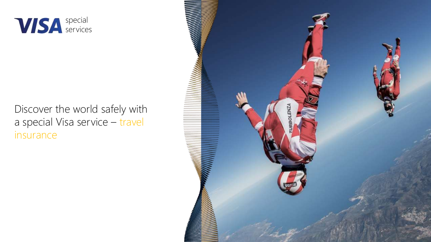

### Discover the world safely with a special Visa service – travel insurance

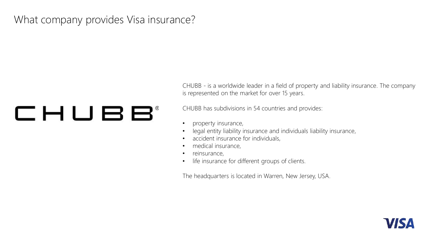### What company provides Visa insurance?

# CHUBB®

CHUBB - is a worldwide leader in a field of property and liability insurance. The company is represented on the market for over 15 years.

CHUBB has subdivisions in 54 countries and provides:

- property insurance,
- Iegal entity liability insurance and individuals liability insurance,
- accident insurance for individuals,
- medical insurance,
- reinsurance,
- life insurance for different groups of clients.

The headquarters is located in Warren, New Jersey, USA.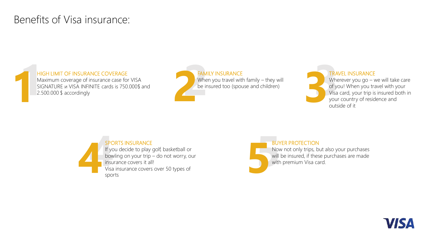### Benefits of Visa insurance:

#### HIGH LIMIT OF INSURANCE COVERAGE

Maximum coverage of insurance case for VISA SIGNATURE и VISA INFINITE cards is 750.000\$ and



TRAVEL INSURANCE Wherever you go - we will take care of you! When you travel with your Visa card, your trip is insured both in your country of residence and outside of it



If you decide to play golf, basketball or bowling on your trip – do not worry, our Visa insurance covers over 50 types of sports



#### BUYER PROTECTION

Now not only trips, but also your purchases will be insured, if these purchases are made with premium Visa card.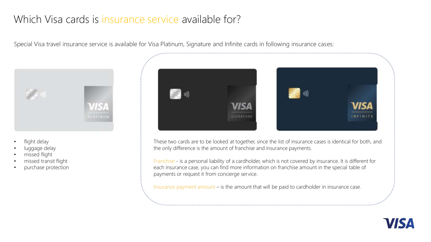### Which Visa cards is insurance service available for?

Special Visa travel insurance service is available for Visa Platinum, Signature and Infinite cards in following insurance cases:



- flight delay
- luggage delay
- missed flight
- missed transit flight
- purchase protection



These two cards are to be looked at together, since the list of insurance cases is identical for both, and the only difference is the amount of franchise and insurance payments.

Franchise - is a personal liability of a cardholder, which is not covered by insurance. It is different for each insurance case, you can find more information on franchise amount in the special table of payments or request it from concierge service.

Insurance payment amount – is the amount that will be paid to cardholder in insurance case.

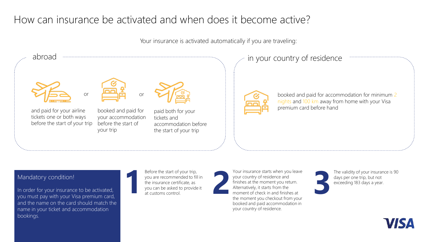### How can insurance be activated and when does it become active?

Your insurance is activated automatically if you are traveling:



#### Mandatory condition!

In order for your insurance to be activated, you must pay with your Visa premium card, and the name on the card should match the name in your ticket and accommodation bookings.

Before the start of your trip, you are recommended to fill in the insurance certificate, as you can be asked to provide it at customs control.



Your insurance starts when you leave your country of residence and finishes at the moment you return. Alternatively, it starts from the moment of check in and finishes at the moment you checkout from your booked and paid accommodation in your country of residence. Before the start of your trip,<br>
your country of residence and<br>
the insurance certificate, as<br>
you can be asked to provide it<br>
at customs control.<br>
at customs control.<br>
<br>
<br>
<br> **2 2 2 1** exceeding 183 days a year.<br>
<br> **2** 

The validity of your insurance is 90

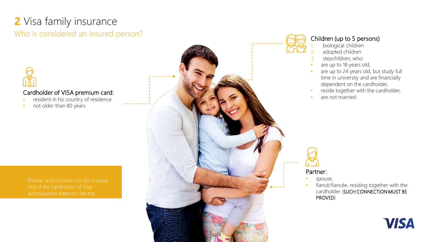## **2** Visa family insurance

### Who is considered an insured person?



#### Cardholder of VISA premium card:

- resident in his country of residence
- not older than 80 years







#### Children (up to 5 persons)

- biological children
- 2. adopted children
- 3. stepchildren, who:
- are up to 18 years old,
- are up to 24 years old, but study full time in university and are financially dependent on the cardholder,
- reside together with the cardholder,
- are not married.

Partner:

- spouse,
- fiancé/fiancée, residing together with the cardholder (SUCH CONNECTION MUST BE PROVED)

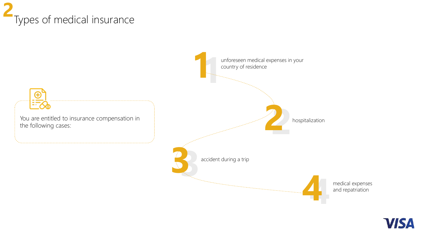### Types of medical insurance **2**



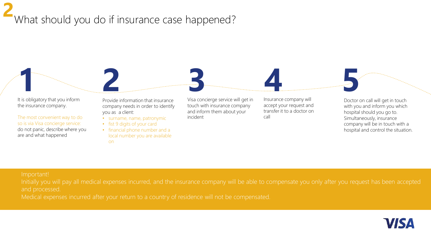### What should you do if insurance case happened? **2**

**1** It is obligatory that you inform the insurance company.

The most convenient way to do so is via Visa concierge service: do not panic, describe where you are and what happened

Provide information that insurance company needs in order to identify you as a client:

- surname, name, patronymic
- fist 9 digits of your card
- financial phone number and a local number you are available on

Visa concierge service will get in touch with insurance company and inform them about your incident **2 3 4 5**

Insurance company will accept your request and transfer it to a doctor on call

Doctor on call will get in touch with you and inform you which hospital should you go to. Simultaneously, insurance company will be in touch with a hospital and control the situation.

#### Important!

and processed.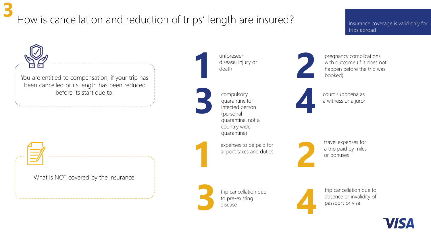## How is cancellation and reduction of trips' length are insured?

#### Insurance coverage is valid only for trips abroad



**3**

unforeseen disease, injury or death

- compulsory quarantine for infected person (personal quarantine, not a country wide quarantine) **3 4**
	- expenses to be paid for airport taxes and duties

**3**

trip cancellation due to pre-existing disease



trip cancellation due to absence or invalidity of passport or visa



with outcome (if it does not happen before the trip was booked)

pregnancy complications



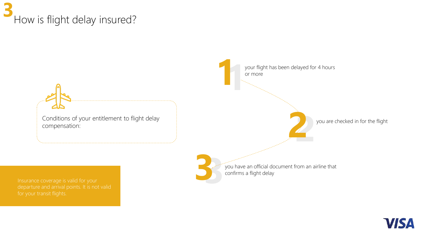### How is flight delay insured? **3**



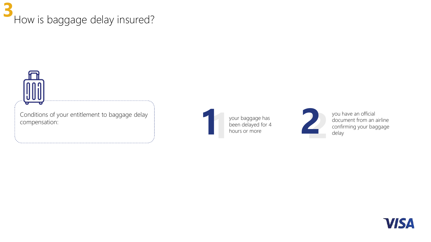### How is baggage delay insured? **3**



your baggage has been delayed for 4 hours or more



you have an official document from an airline Experience of the product of the product of the product of the product of the product of the product of the product of the product of the product of the product of the product of the product of the product of the product o

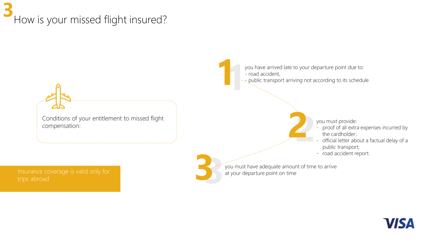### How is your missed flight insured? **3**

Conditions of your entitlement to missed flight compensation:

Insurance coverage is valid only for

you have arrived late to your departure point due to: - road accident, **11** 

 $\sim$  public transport arriving not according to its schedule

**2**

**2**

you must provide:

- proof of all extra expenses incurred by the cardholder;
- official letter about a factual delay of a public transport;
- road accident report.

you must have adequate amount of time to arrive at your departure point on time **33**

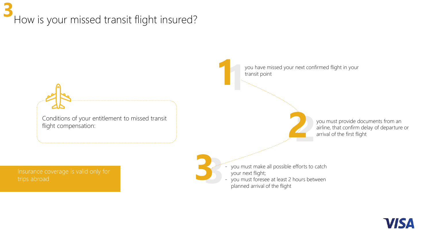### How is your missed transit flight insured? **3**



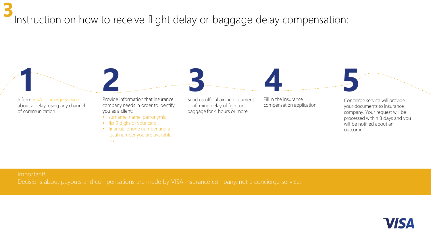Instruction on how to receive flight delay or baggage delay compensation: **3**



Important!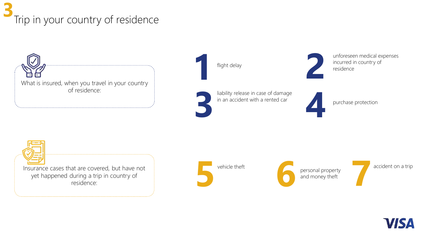### Trip in your country of residence **3**

What is insured, when you travel in your country of residence:

flight delay **1 2**

liability release in case of damage **3 4**

in an accident with a rented car

unforeseen medical expenses incurred in country of residence

purchase protection

Insurance cases that are covered, but have not yet happened during a trip in country of residence:

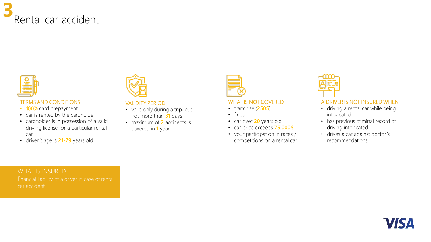



#### TERMS AND CONDITIONS

- 100% card prepayment
- car is rented by the cardholder
- cardholder is in possession of a valid driving license for a particular rental car
- driver's age is **21-79** years old

#### VALIDITY PERIOD

- valid only during a trip, but not more than **31** days
- maximum of **2** accidents is covered in **1** year



#### WHAT IS NOT COVERED

- franchise (**250\$**)
- fines
- car over **20** years old
- car price exceeds **75.000\$**
- your participation in races / competitions on a rental car



#### A DRIVER IS NOT INSURED WHEN

- driving a rental car while being intoxicated
- has previous criminal record of driving intoxicated
- drives a car against doctor's recommendations

#### WHAT IS INSURED

car accident.

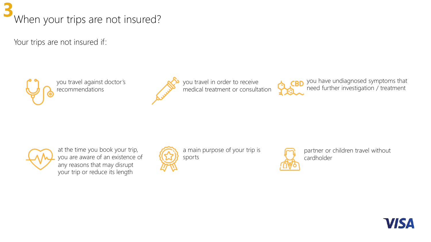

Your trips are not insured if:



you travel against doctor's recommendations



you travel in order to receive medical treatment or consultation



you have undiagnosed symptoms that need further investigation / treatment



at the time you book your trip, you are aware of an existence of any reasons that may disrupt your trip or reduce its length



a main purpose of your trip is sports



partner or children travel without cardholder

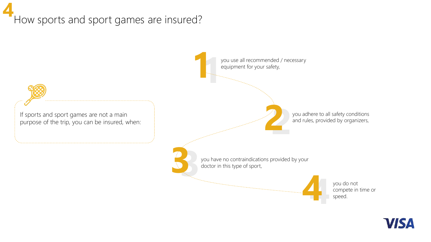### How sports and sport games are insured? **4**



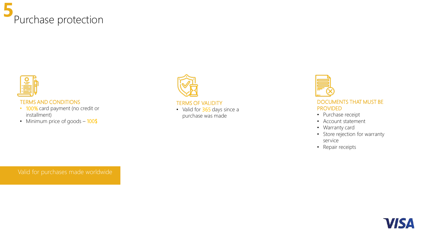



#### TERMS AND CONDITIONS

- 100% card payment (no credit or installment)
- Minimum price of goods 100\$



#### TERMS OF VALIDITY

• Valid for 365 days since a purchase was made



#### DOCUMENTS THAT MUST BE PROVIDED

- Purchase receipt
- Account statement
- Warranty card
- Store rejection for warranty service
- Repair receipts

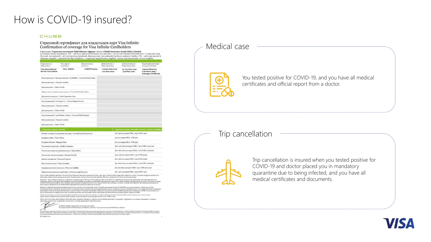### How is COVID-19 insured?

#### CHUBB

Страховой сертификат для владельцев карт Visa Infinite Confirmation of coverage for Visa Infinite Cardholders

.<br>Galil Wassex Admirac Journal Chubb formoone Routh Africa Christi

| Страновитель 2<br>Polici trdder:                                                                                                                                                                      | Tim sugress /<br>Card Type:                                            | Новер полита /<br>Policy No: | Действителеті (/<br><b>Folkey Start Date:</b> | Действителем до Л<br><b>Polley Rapin Dute:</b>   | Территория действия /<br>Gregorghinal Ligitt:                       |
|-------------------------------------------------------------------------------------------------------------------------------------------------------------------------------------------------------|------------------------------------------------------------------------|------------------------------|-----------------------------------------------|--------------------------------------------------|---------------------------------------------------------------------|
| <b>Visa International</b><br>Service Association                                                                                                                                                      | Visa Infinite                                                          | ZABOTY00474                  | I HOUSE 2020 FILER<br>/1st June 2020          | 31 WAN 2011 FOAR<br>/ yest May nome              | страны Шенгена<br>FETHER BICKENENY ARRESTS 3<br>Schengen, Worldwide |
|                                                                                                                                                                                                       | Владатлен нарты / Застриозминный / Cardholder / Instancti Person Name: |                              |                                               |                                                  |                                                                     |
| Howes nacisipital / Passport number:                                                                                                                                                                  |                                                                        |                              |                                               |                                                  |                                                                     |
| flava processes / Date of birth:                                                                                                                                                                      |                                                                        |                              |                                               |                                                  |                                                                     |
|                                                                                                                                                                                                       | Первых деветь (цефт) исперыварты: / Visa Civil Erst nine digits:       |                              |                                               |                                                  |                                                                     |
|                                                                                                                                                                                                       | Barta maniaxa montanan: / Travel Departure Dato:                       |                              |                                               |                                                  |                                                                     |
|                                                                                                                                                                                                       | harryaninamoutl/-as Cympre/-a / Covered Spoase Name.                   |                              |                                               |                                                  |                                                                     |
| Новерзаклюрів: / Рамфот запінт:                                                                                                                                                                       |                                                                        |                              |                                               |                                                  |                                                                     |
| Sava ponuseuse: / Date of birth:                                                                                                                                                                      |                                                                        |                              |                                               |                                                  |                                                                     |
|                                                                                                                                                                                                       | Increasements /-see Peficienc /-/Jerus / Covered Child Namels);        |                              |                                               |                                                  |                                                                     |
|                                                                                                                                                                                                       |                                                                        |                              |                                               |                                                  |                                                                     |
|                                                                                                                                                                                                       |                                                                        |                              |                                               |                                                  |                                                                     |
|                                                                                                                                                                                                       |                                                                        |                              |                                               |                                                  |                                                                     |
|                                                                                                                                                                                                       |                                                                        |                              |                                               |                                                  |                                                                     |
|                                                                                                                                                                                                       | Олмена песцада) Сокропочне изездам / Cancellation & Curtainscot        |                              |                                               | Ло 7 500 лиллина США / up to USD 7 300           |                                                                     |
| <b>Greenomer peem / Renefit</b>                                                                                                                                                                       |                                                                        |                              |                                               | 700 northpox CIIIA / USD 506                     |                                                                     |
|                                                                                                                                                                                                       |                                                                        |                              |                                               | 500 material CIIIA / USD (joi)                   |                                                                     |
|                                                                                                                                                                                                       |                                                                        |                              |                                               | Де в 300 000 долларов США / up to USD 2.500,000  |                                                                     |
| Ники менута: / Разроб плавет.<br><b>Java posszersse: / Date of birth:</b><br>Bauerpauss pedica / Travel Delay.<br><b>Bacaquero Garrows / Baggage Delay</b><br>Magnumenter paratura / Medical Expenses | Расходия на омного цик/ренатризцию / Вератияйски                       |                              |                                               | До г поп под полиции США / пр в USD 1.000,000    | Cryacona reveau / Benefit Amenuta / Livet of Liability              |
|                                                                                                                                                                                                       | Persona na recorramenzano / Hospital Breefit                           |                              |                                               | Ло 3 000 долларов СПІА / из 10 1380 3 пос        |                                                                     |
|                                                                                                                                                                                                       |                                                                        |                              |                                               | До г. 500 дилларов США / пр во USD 2,500         |                                                                     |
| <b>Il reason aprovagement / Personal Property</b><br>Hervarmusik onyuzh / Travol Acoldoni                                                                                                             |                                                                        |                              |                                               | До к 600 000 долицине США / чр to USB 1,000 посо |                                                                     |

were some y Arra movem program as 40 pack Departmental, and an anti-sensora printment Norma, in association run, we also receive partment Destane. The entitle at human is made to only the problem of the limit of the State of the State Constitution of the State of the State of the State of the State of the State of the State of the State of the State of the S

Теннин Линий організ праўны прыклюза выжла ночнанні члян Товай прошала Пова IV МЮТоку, акцентам, до Становодск<br>наражаю облас ворых Руцанска, акфе ласан Уросла правава. Сразня скране карактары роска, сканала с Сва проходе

Chéé Travilinatane le least autoucheurine le Chéé houses Statubiths Listind, et substant Financia Berier Provinc (PP 2771), Opussues expressive representation of the Art of the Art of the Art of the Art of the Art of the A

Fixer whe tutte Trema ad Condition which will contain reduction, business, codumns and terraturing positions. Transporter



Arckbert & Hoaldy Depresentation of restructions appear.<br>For and on behalf of Chubis fascepose Scotts Africa Limbed / Coparon as measures Malfi Khunaic Adjance

ede. Damas III. Jak (1861). Abenet III. Bana areman apergada transa 637 Ant Chemar, 68 Variantal, it bana. M Morad (1960).<br>amar hak Arai interfilia in any bilang ilihanan aperga ambarganakan a masam masa minama internasi n **BIT-CHARGE LOW** 

Medical case



You tested positive for COVID-19, and you have all medical certificates and official report from a doctor.

#### Trip cancellation



Trip cancellation is insured when you tested positive for COVID-19 and doctor placed you in mandatory quarantine due to being infected, and you have all medical certificates and documents.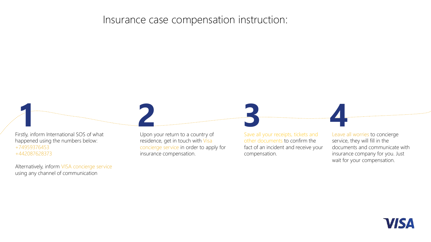### Insurance case compensation instruction:

Firstly, inform International SOS of what happened using the numbers below: +74959376453 +442087628373

Alternatively, inform VISA concierge service using any channel of communication

Upon your return to a country of residence, get in touch with Visa concierge service in order to apply for insurance compensation.



Save all your receipts, tickets and other documents to confirm the fact of an incident and receive your compensation.

Leave all worries to concierge service, they will fill in the documents and communicate with insurance company for you. Just wait for your compensation.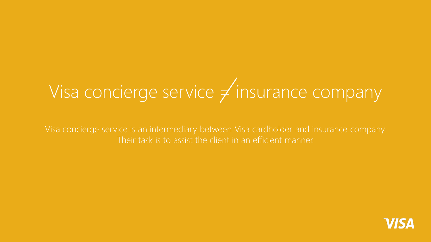# Visa concierge service  $\neq$  insurance company

Visa concierge service is an intermediary between Visa cardholder and insurance company. Their task is to assist the client in an efficient manner.

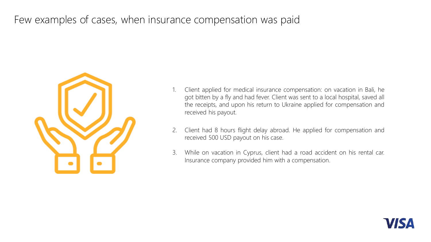### Few examples of cases, when insurance compensation was paid



- 1. Client applied for medical insurance compensation: on vacation in Bali, he got bitten by a fly and had fever. Client was sent to a local hospital, saved all the receipts, and upon his return to Ukraine applied for compensation and received his payout.
- 2. Client had 8 hours flight delay abroad. He applied for compensation and received 500 USD payout on his case.
- 3. While on vacation in Cyprus, client had a road accident on his rental car. Insurance company provided him with a compensation.